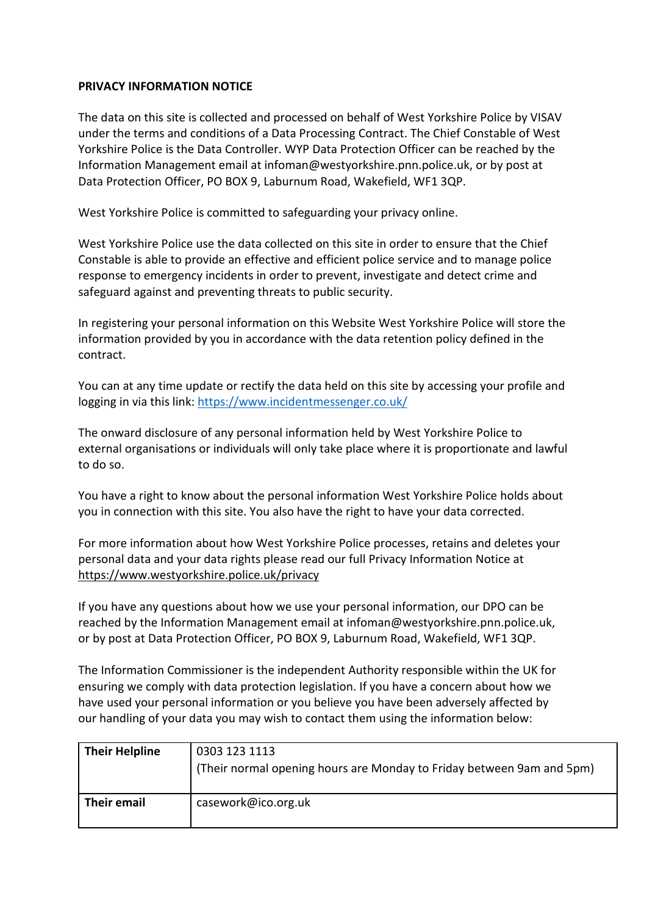## **PRIVACY INFORMATION NOTICE**

The data on this site is collected and processed on behalf of West Yorkshire Police by VISAV under the terms and conditions of a Data Processing Contract. The Chief Constable of West Yorkshire Police is the Data Controller. WYP Data Protection Officer can be reached by the Information Management email at [infoman@westyorkshire.pnn.police.uk,](mailto:infoman@westyorkshire.pnn.police.uk) or by post at Data Protection Officer, PO BOX 9, Laburnum Road, Wakefield, WF1 3QP.

West Yorkshire Police is committed to safeguarding your privacy online.

West Yorkshire Police use the data collected on this site in order to ensure that the Chief Constable is able to provide an effective and efficient police service and to manage police response to emergency incidents in order to prevent, investigate and detect crime and safeguard against and preventing threats to public security.

In registering your personal information on this Website West Yorkshire Police will store the information provided by you in accordance with the data retention policy defined in the contract.

You can at any time update or rectify the data held on this site by accessing your profile and logging in via this link:<https://www.incidentmessenger.co.uk/>

The onward disclosure of any personal information held by West Yorkshire Police to external organisations or individuals will only take place where it is proportionate and lawful to do so.

You have a right to know about the personal information West Yorkshire Police holds about you in connection with this site. You also have the right to have your data corrected.

For more information about how West Yorkshire Police processes, retains and deletes your personal data and your data rights please read our full Privacy Information Notice at <https://www.westyorkshire.police.uk/privacy>

If you have any questions about how we use your personal information, our DPO can be reached by the Information Management email at [infoman@westyorkshire.pnn.police.uk,](mailto:infoman@westyorkshire.pnn.police.uk) or by post at Data Protection Officer, PO BOX 9, Laburnum Road, Wakefield, WF1 3QP.

The Information Commissioner is the independent Authority responsible within the UK for ensuring we comply with data protection legislation. If you have a concern about how we have used your personal information or you believe you have been adversely affected by our handling of your data you may wish to contact them using the information below:

| <b>Their Helpline</b> | 0303 123 1113<br>(Their normal opening hours are Monday to Friday between 9am and 5pm) |
|-----------------------|----------------------------------------------------------------------------------------|
| Their email           | casework@ico.org.uk                                                                    |